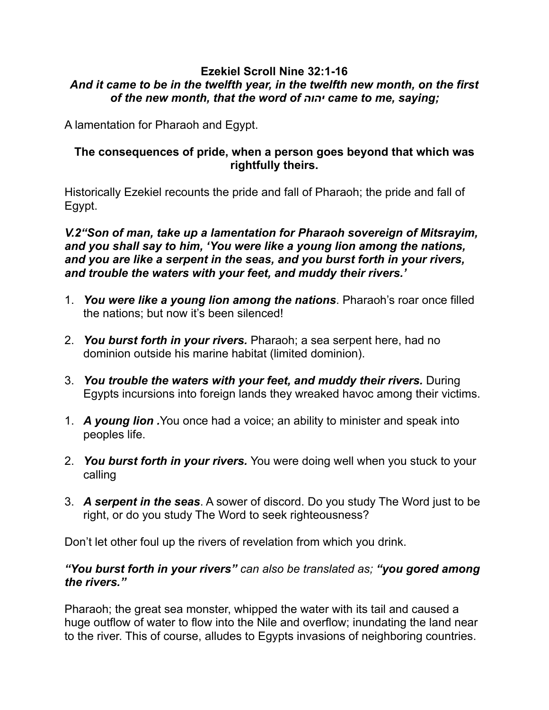#### **Ezekiel Scroll Nine 32:1-16**  *And it came to be in the twelfth year, in the twelfth new month, on the first of the new month, that the word of יהוה came to me, saying;*

A lamentation for Pharaoh and Egypt.

# **The consequences of pride, when a person goes beyond that which was rightfully theirs.**

Historically Ezekiel recounts the pride and fall of Pharaoh; the pride and fall of Egypt.

*V.2"Son of man, take up a lamentation for Pharaoh sovereign of Mitsrayim, and you shall say to him, 'You were like a young lion among the nations, and you are like a serpent in the seas, and you burst forth in your rivers, and trouble the waters with your feet, and muddy their rivers.'* 

- 1. *You were like a young lion among the nations*. Pharaoh's roar once filled the nations; but now it's been silenced!
- 2. *You burst forth in your rivers.* Pharaoh; a sea serpent here, had no dominion outside his marine habitat (limited dominion).
- 3. *You trouble the waters with your feet, and muddy their rivers.* During Egypts incursions into foreign lands they wreaked havoc among their victims.
- 1. *A young lion .*You once had a voice; an ability to minister and speak into peoples life.
- 2. *You burst forth in your rivers.* You were doing well when you stuck to your calling
- 3. *A serpent in the seas*. A sower of discord. Do you study The Word just to be right, or do you study The Word to seek righteousness?

Don't let other foul up the rivers of revelation from which you drink.

### *"You burst forth in your rivers" can also be translated as; "you gored among the rivers."*

Pharaoh; the great sea monster, whipped the water with its tail and caused a huge outflow of water to flow into the Nile and overflow; inundating the land near to the river. This of course, alludes to Egypts invasions of neighboring countries.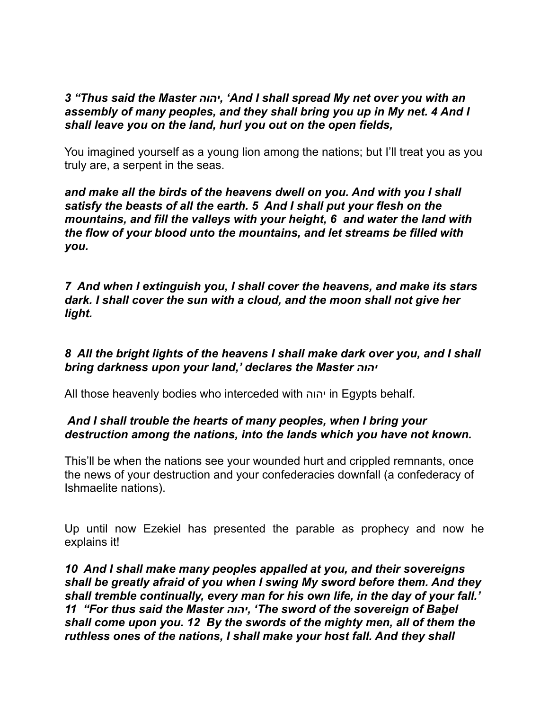### *3 "Thus said the Master יהוה,' And I shall spread My net over you with an assembly of many peoples, and they shall bring you up in My net. 4 And I shall leave you on the land, hurl you out on the open fields,*

You imagined yourself as a young lion among the nations; but I'll treat you as you truly are, a serpent in the seas.

*and make all the birds of the heavens dwell on you. And with you I shall satisfy the beasts of all the earth. 5 And I shall put your flesh on the mountains, and fill the valleys with your height, 6 and water the land with the flow of your blood unto the mountains, and let streams be filled with you.* 

*7 And when I extinguish you, I shall cover the heavens, and make its stars dark. I shall cover the sun with a cloud, and the moon shall not give her light.* 

# *8 All the bright lights of the heavens I shall make dark over you, and I shall bring darkness upon your land,' declares the Master יהוה*

All those heavenly bodies who interceded with יהוה in Egypts behalf.

# *And I shall trouble the hearts of many peoples, when I bring your destruction among the nations, into the lands which you have not known.*

This'll be when the nations see your wounded hurt and crippled remnants, once the news of your destruction and your confederacies downfall (a confederacy of Ishmaelite nations).

Up until now Ezekiel has presented the parable as prophecy and now he explains it!

*10 And I shall make many peoples appalled at you, and their sovereigns shall be greatly afraid of you when I swing My sword before them. And they shall tremble continually, every man for his own life, in the day of your fall.' 11 "For thus said the Master יהוה,' The sword of the sovereign of Baḇel shall come upon you. 12 By the swords of the mighty men, all of them the ruthless ones of the nations, I shall make your host fall. And they shall*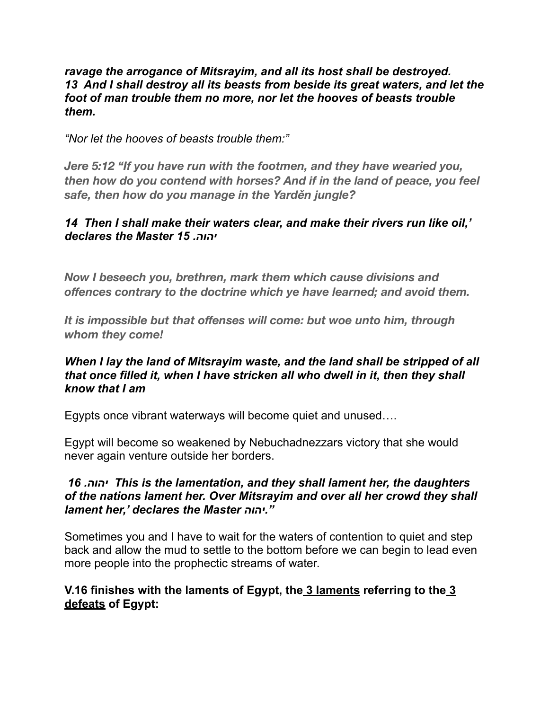#### *ravage the arrogance of Mitsrayim, and all its host shall be destroyed. 13 And I shall destroy all its beasts from beside its great waters, and let the foot of man trouble them no more, nor let the hooves of beasts trouble them.*

*"Nor let the hooves of beasts trouble them:"* 

*Jere 5:12 "If you have run with the footmen, and they have wearied you, then how do you contend with horses? And if in the land of peace, you feel safe, then how do you manage in the Yarděn jungle?* 

### *14 Then I shall make their waters clear, and make their rivers run like oil,' declares the Master 15 .יהוה*

*Now I beseech you, brethren, mark them which cause divisions and offences contrary to the doctrine which ye have learned; and avoid them.* 

*It is impossible but that offenses will come: but woe unto him, through whom they come!* 

# *When I lay the land of Mitsrayim waste, and the land shall be stripped of all that once filled it, when I have stricken all who dwell in it, then they shall know that I am*

Egypts once vibrant waterways will become quiet and unused….

Egypt will become so weakened by Nebuchadnezzars victory that she would never again venture outside her borders.

### *16 .יהוה This is the lamentation, and they shall lament her, the daughters of the nations lament her. Over Mitsrayim and over all her crowd they shall lament her,' declares the Master יהוה."*

Sometimes you and I have to wait for the waters of contention to quiet and step back and allow the mud to settle to the bottom before we can begin to lead even more people into the prophectic streams of water.

# **V.16 finishes with the laments of Egypt, the 3 laments referring to the 3 defeats of Egypt:**